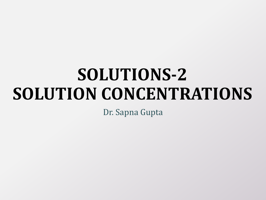# **SOLUTIONS-2 SOLUTION CONCENTRATIONS**

Dr. Sapna Gupta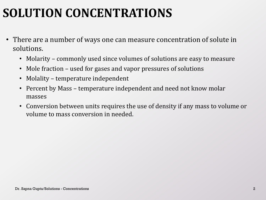### **SOLUTION CONCENTRATIONS**

- There are a number of ways one can measure concentration of solute in solutions.
	- Molarity commonly used since volumes of solutions are easy to measure
	- Mole fraction used for gases and vapor pressures of solutions
	- Molality temperature independent
	- Percent by Mass temperature independent and need not know molar masses
	- Conversion between units requires the use of density if any mass to volume or volume to mass conversion in needed.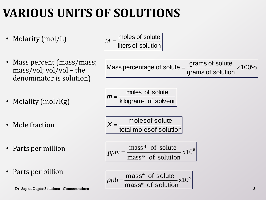# **VARIOUS UNITS OF SOLUTIONS**

- Molarity (mol/L)
- Mass percent (mass/mass; mass/vol; vol/vol – the denominator is solution)
- Molality (mol/Kg)
- Mole fraction
- Parts per million
- Parts per billion

Dr. Sapna Gupta/Solutions - Concentrations 3

$$
M = \frac{\text{moles of solute}}{\text{liters of solution}}
$$

Mass percentage of solute = 
$$
\frac{\text{grams of solute}}{\text{grams of solution}} \times 100\%
$$
  

$$
m = \frac{\text{moles of solute}}{\text{cm} \times 100\%}
$$

$$
m = \frac{\text{moles of solute}}{\text{kilograms of solvent}}
$$

$$
X = \frac{\text{moles of solute}}{\text{total moles of solution}}
$$

$$
ppm = \frac{\text{mass}^* \text{ of solute}}{\text{mass}^* \text{ of solution}} \times 10^6
$$

$$
ppb = \frac{\text{mass}^* \text{ of solute}}{\text{mass}^* \text{ of solution}} \times 10^9
$$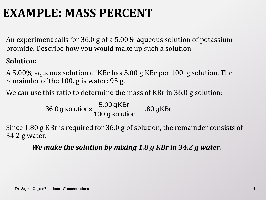### **EXAMPLE: MASS PERCENT**

An experiment calls for 36.0 g of a 5.00% aqueous solution of potassium bromide. Describe how you would make up such a solution.

#### **Solution:**

A 5.00% aqueous solution of KBr has 5.00 g KBr per 100. g solution. The remainder of the 100. g is water: 95 g.

We can use this ratio to determine the mass of KBr in 36.0 g solution:

$$
36.0 g solution \times \frac{5.00 g KBr}{100.g solution} = 1.80 g KBr
$$

Since 1.80 g KBr is required for 36.0 g of solution, the remainder consists of 34.2 g water.

*We make the solution by mixing 1.8 g KBr in 34.2 g water.*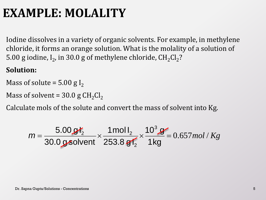### **EXAMPLE: MOLALITY**

Iodine dissolves in a variety of organic solvents. For example, in methylene chloride, it forms an orange solution. What is the molality of a solution of 5.00 g iodine,  $I_2$ , in 30.0 g of methylene chloride, CH<sub>2</sub>Cl<sub>2</sub>?

#### **Solution:**

Mass of solute =  $5.00 \text{ g L}$ 

Mass of solvent =  $30.0 \text{ g } CH_2Cl_2$ 

Calculate mols of the solute and convert the mass of solvent into Kg.

$$
m = \frac{5.00 \, \text{gt}_2}{30.0 \, \text{gsolvent}} \times \frac{1 \, \text{mol}\, l_2}{253.8 \, \text{gt}_2} \times \frac{10^3 \, \text{gt}}{1 \, \text{kg}} = 0.657 \, \text{mol} \, / \, \text{Kg}
$$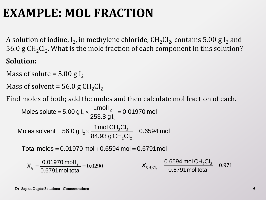### **EXAMPLE: MOL FRACTION**

A solution of iodine, I<sub>2</sub>, in methylene chloride, CH<sub>2</sub>Cl<sub>2</sub>, contains 5.00 g I<sub>2</sub> and 56.0 g CH<sub>2</sub>Cl<sub>2</sub>. What is the mole fraction of each component in this solution?

#### **Solution:**

Mass of solute =  $5.00 \text{ g L}$ 

Mass of solvent =  $56.0$  g CH<sub>2</sub>Cl<sub>2</sub>

Find moles of both; add the moles and then calculate mol fraction of each.

Moles solute = 5.00 g I<sub>2</sub> × 
$$
\frac{1 \text{ mol I}_2}{253.8 \text{ g I}_2}
$$
 = 0.01970 mol  
Moles solvent = 56.0 g I<sub>2</sub> ×  $\frac{1 \text{ mol } CH_2Cl_2}{84.93 \text{ g } CH_2Cl_2}$  = 0.6594 mol

Total moles =  $0.01970$  mol  $+0.6594$  mol =  $0.6791$  mol

$$
X_{L_2} = \frac{0.01970 \text{ mol I}_2}{0.6791 \text{ mol total}} = 0.0290
$$
  

$$
X_{CH_2Cl_2} = \frac{0.6594 \text{ mol } CH_2Cl_2}{0.6791 \text{ mol total}} = 0.971
$$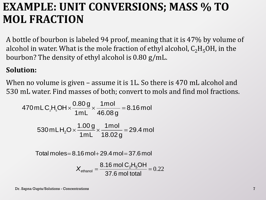### **EXAMPLE: UNIT CONVERSIONS; MASS % TO MOL FRACTION**

A bottle of bourbon is labeled 94 proof, meaning that it is 47% by volume of alcohol in water. What is the mole fraction of ethyl alcohol,  $C_2H_5OH$ , in the bourbon? The density of ethyl alcohol is 0.80 g/mL.

#### **Solution:**

When no volume is given – assume it is 1L. So there is 470 mL alcohol and 530 mL water. Find masses of both; convert to mols and find mol fractions.

470 mL C<sub>2</sub>H<sub>s</sub>OH × 
$$
\frac{0.80 \text{ g}}{1 \text{ mL}} \times \frac{1 \text{ mol}}{46.08 \text{ g}}
$$
 = 8.16 mol  
530 mL H<sub>2</sub>O ×  $\frac{1.00 \text{ g}}{1 \text{ mL}} \times \frac{1 \text{ mol}}{18.02 \text{ g}}$  = 29.4 mol

Total moles =  $8.16$  mol + 29.4 mol = 37.6 mol

$$
X_{\text{ethanol}} = \frac{8.16 \text{ mol C}_2 \text{H}_5 \text{OH}}{37.6 \text{ mol total}} = 0.22
$$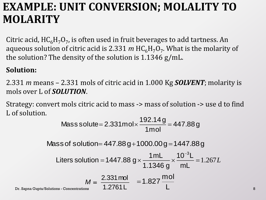### **EXAMPLE: UNIT CONVERSION; MOLALITY TO MOLARITY**

Citric acid,  $\text{HC}_6\text{H}_7\text{O}_7$ , is often used in fruit beverages to add tartness. An aqueous solution of citric acid is 2.331 *m* HC<sub>6</sub>H<sub>7</sub>O<sub>7</sub>. What is the molarity of the solution? The density of the solution is 1.1346 g/mL.

#### **Solution:**

2.331 *m* means – 2.331 mols of citric acid in 1.000 Kg *SOLVENT*; molarity is mols over L of *SOLUTION*.

Strategy: convert mols citric acid to mass -> mass of solution -> use d to find L of solution.

Mass solute = 
$$
2.331 \text{mol} \times \frac{192.14 \text{ g}}{1 \text{mol}} = 447.88 \text{ g}
$$

$$
Mass of solution = 447.88\,g + 1000.00\,g = 1447.88\,g
$$

Liters solution = 1447.88 g × 
$$
\frac{1 \text{ mL}}{1.1346 \text{ g}} \times \frac{10^{-3} \text{L}}{\text{mL}} = 1.267 \text{ L}
$$

\nDr. Sappa Gupta/Solutions - Concerntrations

\n
$$
M = \frac{2.331 \text{ mol}}{1.2761 \text{ L}} = 1.827 \frac{\text{mol}}{\text{L}}
$$